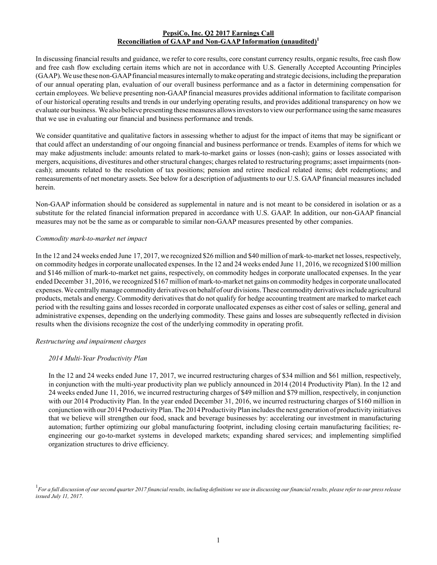## **PepsiCo, Inc. Q2 2017 Earnings Call Reconciliation of GAAP and Non-GAAP Information (unaudited)<sup>1</sup>**

In discussing financial results and guidance, we refer to core results, core constant currency results, organic results, free cash flow and free cash flow excluding certain items which are not in accordance with U.S. Generally Accepted Accounting Principles (GAAP). We use these non-GAAPfinancial measures internally to make operating and strategic decisions, including the preparation of our annual operating plan, evaluation of our overall business performance and as a factor in determining compensation for certain employees. We believe presenting non-GAAPfinancial measures provides additional information to facilitate comparison of our historical operating results and trends in our underlying operating results, and provides additional transparency on how we evaluate our business. We also believe presenting these measures allows investors to view our performance using the same measures that we use in evaluating our financial and business performance and trends.

We consider quantitative and qualitative factors in assessing whether to adjust for the impact of items that may be significant or that could affect an understanding of our ongoing financial and business performance or trends. Examples of items for which we may make adjustments include: amounts related to mark-to-market gains or losses (non-cash); gains or losses associated with mergers, acquisitions, divestitures and other structural changes; charges related to restructuring programs; asset impairments (noncash); amounts related to the resolution of tax positions; pension and retiree medical related items; debt redemptions; and remeasurements of net monetary assets. See below for a description of adjustments to our U.S. GAAPfinancial measures included herein.

Non-GAAP information should be considered as supplemental in nature and is not meant to be considered in isolation or as a substitute for the related financial information prepared in accordance with U.S. GAAP. In addition, our non-GAAP financial measures may not be the same as or comparable to similar non-GAAP measures presented by other companies.

### *Commodity mark-to-market net impact*

In the 12 and 24 weeks ended June 17, 2017, we recognized \$26 million and \$40 million of mark-to-market net losses, respectively, on commodity hedges in corporate unallocated expenses. In the 12 and 24 weeks ended June 11, 2016, we recognized \$100 million and \$146 million of mark-to-market net gains, respectively, on commodity hedges in corporate unallocated expenses. In the year ended December 31, 2016, we recognized \$167 million of mark-to-market net gains on commodity hedges in corporate unallocated expenses. We centrally manage commodity derivatives on behalf of our divisions. These commodity derivatives include agricultural products, metals and energy. Commodity derivatives that do not qualify for hedge accounting treatment are marked to market each period with the resulting gains and losses recorded in corporate unallocated expenses as either cost of sales or selling, general and administrative expenses, depending on the underlying commodity. These gains and losses are subsequently reflected in division results when the divisions recognize the cost of the underlying commodity in operating profit.

### *Restructuring and impairment charges*

# *2014 Multi-Year Productivity Plan*

In the 12 and 24 weeks ended June 17, 2017, we incurred restructuring charges of \$34 million and \$61 million, respectively, in conjunction with the multi-year productivity plan we publicly announced in 2014 (2014 Productivity Plan). In the 12 and 24 weeks ended June 11, 2016, we incurred restructuring charges of \$49 million and \$79 million, respectively, in conjunction with our 2014 Productivity Plan. In the year ended December 31, 2016, we incurred restructuring charges of \$160 million in conjunction with our 2014 Productivity Plan. The 2014 Productivity Plan includes the next generation of productivity initiatives that we believe will strengthen our food, snack and beverage businesses by: accelerating our investment in manufacturing automation; further optimizing our global manufacturing footprint, including closing certain manufacturing facilities; reengineering our go-to-market systems in developed markets; expanding shared services; and implementing simplified organization structures to drive efficiency.

<sup>1</sup> For a full discussion of our second quarter 2017 financial results, including definitions we use in discussing our financial results, please refer to our press release *issued July 11, 2017.*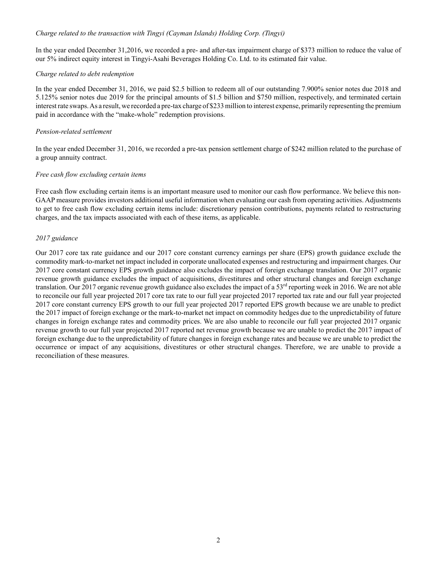### *Charge related to the transaction with Tingyi (Cayman Islands) Holding Corp. (Tingyi)*

In the year ended December 31,2016, we recorded a pre- and after-tax impairment charge of \$373 million to reduce the value of our 5% indirect equity interest in Tingyi-Asahi Beverages Holding Co. Ltd. to its estimated fair value.

### *Charge related to debt redemption*

In the year ended December 31, 2016, we paid \$2.5 billion to redeem all of our outstanding 7.900% senior notes due 2018 and 5.125% senior notes due 2019 for the principal amounts of \$1.5 billion and \$750 million, respectively, and terminated certain interest rate swaps. As a result, we recorded a pre-tax charge of \$233 million to interest expense, primarily representing the premium paid in accordance with the "make-whole" redemption provisions.

### *Pension-related settlement*

In the year ended December 31, 2016, we recorded a pre-tax pension settlement charge of \$242 million related to the purchase of a group annuity contract.

#### *Free cash flow excluding certain items*

Free cash flow excluding certain items is an important measure used to monitor our cash flow performance. We believe this non-GAAP measure provides investors additional useful information when evaluating our cash from operating activities. Adjustments to get to free cash flow excluding certain items include: discretionary pension contributions, payments related to restructuring charges, and the tax impacts associated with each of these items, as applicable.

#### *2017 guidance*

Our 2017 core tax rate guidance and our 2017 core constant currency earnings per share (EPS) growth guidance exclude the commodity mark-to-market net impact included in corporate unallocated expenses and restructuring and impairment charges. Our 2017 core constant currency EPS growth guidance also excludes the impact of foreign exchange translation. Our 2017 organic revenue growth guidance excludes the impact of acquisitions, divestitures and other structural changes and foreign exchange translation. Our 2017 organic revenue growth guidance also excludes the impact of a  $53<sup>rd</sup>$  reporting week in 2016. We are not able to reconcile our full year projected 2017 core tax rate to our full year projected 2017 reported tax rate and our full year projected 2017 core constant currency EPS growth to our full year projected 2017 reported EPS growth because we are unable to predict the 2017 impact of foreign exchange or the mark-to-market net impact on commodity hedges due to the unpredictability of future changes in foreign exchange rates and commodity prices. We are also unable to reconcile our full year projected 2017 organic revenue growth to our full year projected 2017 reported net revenue growth because we are unable to predict the 2017 impact of foreign exchange due to the unpredictability of future changes in foreign exchange rates and because we are unable to predict the occurrence or impact of any acquisitions, divestitures or other structural changes. Therefore, we are unable to provide a reconciliation of these measures.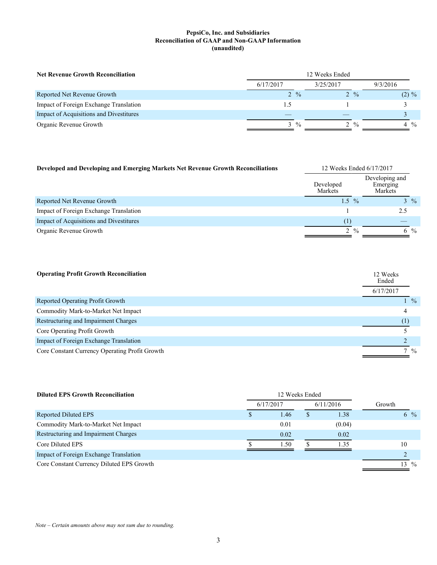| <b>Net Revenue Growth Reconciliation</b> | 12 Weeks Ended  |                 |                |
|------------------------------------------|-----------------|-----------------|----------------|
|                                          | 6/17/2017       | 3/25/2017       | 9/3/2016       |
| Reported Net Revenue Growth              | $2 \frac{9}{6}$ | $2 \frac{9}{6}$ | $(2) \%$       |
| Impact of Foreign Exchange Translation   |                 |                 |                |
| Impact of Acquisitions and Divestitures  |                 |                 |                |
| Organic Revenue Growth                   | $3 \frac{9}{6}$ | $2 \frac{9}{6}$ | $4\frac{0}{0}$ |

| Developed and Developing and Emerging Markets Net Revenue Growth Reconciliations |                             | 12 Weeks Ended 6/17/2017 |                                       |  |  |
|----------------------------------------------------------------------------------|-----------------------------|--------------------------|---------------------------------------|--|--|
|                                                                                  | Developed<br><b>Markets</b> |                          | Developing and<br>Emerging<br>Markets |  |  |
| Reported Net Revenue Growth                                                      | $1.5^{\circ}$               | $\frac{0}{0}$            | $3 \frac{9}{6}$                       |  |  |
| Impact of Foreign Exchange Translation                                           |                             |                          | 2.5                                   |  |  |
| Impact of Acquisitions and Divestitures                                          | (1)                         |                          |                                       |  |  |
| Organic Revenue Growth                                                           |                             | $2 \frac{9}{6}$          | 6 %                                   |  |  |

| <b>Operating Profit Growth Reconciliation</b>  | 12 Weeks<br>Ended |                 |  |
|------------------------------------------------|-------------------|-----------------|--|
|                                                | 6/17/2017         |                 |  |
| Reported Operating Profit Growth               |                   | $1 \frac{9}{6}$ |  |
| Commodity Mark-to-Market Net Impact            | 4                 |                 |  |
| Restructuring and Impairment Charges           | (1)               |                 |  |
| Core Operating Profit Growth                   |                   |                 |  |
| Impact of Foreign Exchange Translation         |                   |                 |  |
| Core Constant Currency Operating Profit Growth |                   | $7\frac{9}{6}$  |  |

| <b>Diluted EPS Growth Reconciliation</b>  | 12 Weeks Ended |   |           |        |                |               |
|-------------------------------------------|----------------|---|-----------|--------|----------------|---------------|
|                                           | 6/17/2017      |   | 6/11/2016 | Growth |                |               |
| Reported Diluted EPS                      | 1.46           | S | 1.38      |        | $6\frac{9}{6}$ |               |
| Commodity Mark-to-Market Net Impact       | 0.01           |   | (0.04)    |        |                |               |
| Restructuring and Impairment Charges      | 0.02           |   | 0.02      |        |                |               |
| Core Diluted EPS                          | 1.50           |   | 1.35      |        | 10             |               |
| Impact of Foreign Exchange Translation    |                |   |           |        |                |               |
| Core Constant Currency Diluted EPS Growth |                |   |           |        | 3              | $\frac{0}{0}$ |

*Note – Certain amounts above may not sum due to rounding.*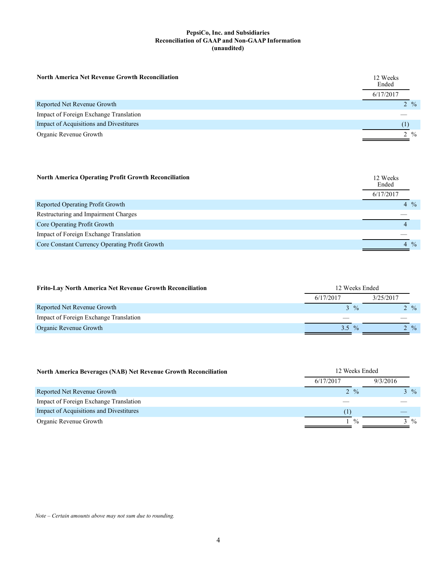| <b>North America Net Revenue Growth Reconciliation</b> | 12 Weeks<br>Ended |                 |
|--------------------------------------------------------|-------------------|-----------------|
|                                                        | 6/17/2017         |                 |
| Reported Net Revenue Growth                            |                   | $2 \frac{9}{6}$ |
| Impact of Foreign Exchange Translation                 |                   |                 |
| Impact of Acquisitions and Divestitures                |                   |                 |
| Organic Revenue Growth                                 |                   | $2 \frac{9}{6}$ |

| <b>North America Operating Profit Growth Reconciliation</b> | 12 Weeks<br>Ended |                |
|-------------------------------------------------------------|-------------------|----------------|
|                                                             | 6/17/2017         |                |
| Reported Operating Profit Growth                            |                   | $4\frac{0}{0}$ |
| Restructuring and Impairment Charges                        |                   |                |
| Core Operating Profit Growth                                |                   |                |
| Impact of Foreign Exchange Translation                      |                   |                |
| Core Constant Currency Operating Profit Growth              |                   | $4\frac{9}{6}$ |

| <b>Frito-Lay North America Net Revenue Growth Reconciliation</b> | 12 Weeks Ended |                 |           |                 |
|------------------------------------------------------------------|----------------|-----------------|-----------|-----------------|
|                                                                  | 6/17/2017      |                 | 3/25/2017 |                 |
| Reported Net Revenue Growth                                      |                | $3 \frac{9}{6}$ |           | 2 %             |
| Impact of Foreign Exchange Translation                           |                |                 |           |                 |
| Organic Revenue Growth                                           | $3.5^{\circ}$  | $\frac{0}{6}$   |           | $2 \frac{9}{6}$ |

| <b>North America Beverages (NAB) Net Revenue Growth Reconciliation</b> | 12 Weeks Ended  |                |
|------------------------------------------------------------------------|-----------------|----------------|
|                                                                        | 6/17/2017       | 9/3/2016       |
| Reported Net Revenue Growth                                            | $2 \frac{9}{6}$ | $3\frac{9}{6}$ |
| Impact of Foreign Exchange Translation                                 |                 |                |
| Impact of Acquisitions and Divestitures                                | (1)             |                |
| Organic Revenue Growth                                                 | $\frac{0}{0}$   | $3\frac{9}{6}$ |

*Note – Certain amounts above may not sum due to rounding.*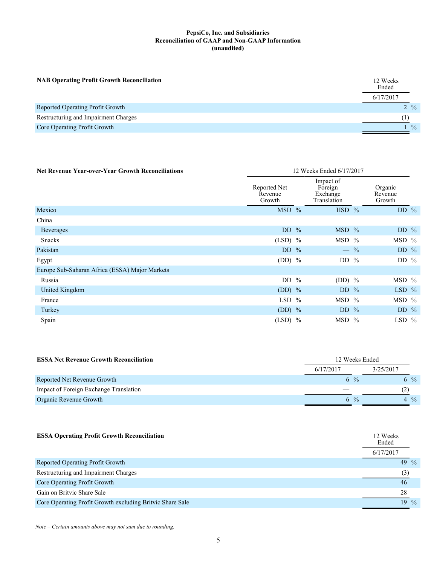| <b>NAB Operating Profit Growth Reconciliation</b> | 12 Weeks<br>Ended |                 |
|---------------------------------------------------|-------------------|-----------------|
|                                                   | 6/17/2017         |                 |
| Reported Operating Profit Growth                  |                   | $2 \frac{9}{6}$ |
| Restructuring and Impairment Charges              |                   |                 |
| Core Operating Profit Growth                      |                   | $\frac{0}{0}$   |
|                                                   |                   |                 |

| <b>Net Revenue Year-over-Year Growth Reconciliations</b> |                                   | 12 Weeks Ended 6/17/2017                        |                              |         |
|----------------------------------------------------------|-----------------------------------|-------------------------------------------------|------------------------------|---------|
|                                                          | Reported Net<br>Revenue<br>Growth | Impact of<br>Foreign<br>Exchange<br>Translation | Organic<br>Revenue<br>Growth |         |
| Mexico                                                   | $MSD$ %                           | $HSD$ %                                         |                              | DD $%$  |
| China                                                    |                                   |                                                 |                              |         |
| <b>Beverages</b>                                         | DD $%$                            | $MSD$ %                                         |                              | DD $%$  |
| Snacks                                                   | $(LSD)$ %                         | $MSD$ %                                         |                              | $MSD$ % |
| Pakistan                                                 | DD $%$                            |                                                 | $-$ %                        | DD $\%$ |
| Egypt                                                    | (DD) $%$                          | DD $%$                                          |                              | DD $\%$ |
| Europe Sub-Saharan Africa (ESSA) Major Markets           |                                   |                                                 |                              |         |
| Russia                                                   | DD $\%$                           | $(DD)$ %                                        |                              | MSD %   |
| United Kingdom                                           | $(DD)$ %                          | DD $%$                                          |                              | $LSD$ % |
| France                                                   | $LSD$ %                           | $MSD$ %                                         |                              | $MSD$ % |
| Turkey                                                   | $(DD)$ %                          | DD $\%$                                         |                              | DD $%$  |
| Spain                                                    | $(LSD)$ %                         | MSD %                                           |                              | LSD $%$ |

| <b>ESSA Net Revenue Growth Reconciliation</b> | 12 Weeks Ended |               |                |     |
|-----------------------------------------------|----------------|---------------|----------------|-----|
|                                               | 6/17/2017      |               | 3/25/2017      |     |
| Reported Net Revenue Growth                   | 6 %            |               |                | 6 % |
| Impact of Foreign Exchange Translation        |                |               | (2)            |     |
| Organic Revenue Growth                        | 6              | $\frac{0}{0}$ | $4\frac{0}{6}$ |     |

| <b>ESSA Operating Profit Growth Reconciliation</b>        | 12 Weeks<br>Ended<br>6/17/2017 |
|-----------------------------------------------------------|--------------------------------|
| Reported Operating Profit Growth                          | 49 $\frac{9}{6}$               |
| Restructuring and Impairment Charges                      | (3)                            |
| Core Operating Profit Growth                              | 46                             |
| Gain on Britvic Share Sale                                | 28                             |
| Core Operating Profit Growth excluding Britvic Share Sale | 19<br>$\frac{0}{0}$            |

*Note – Certain amounts above may not sum due to rounding.*